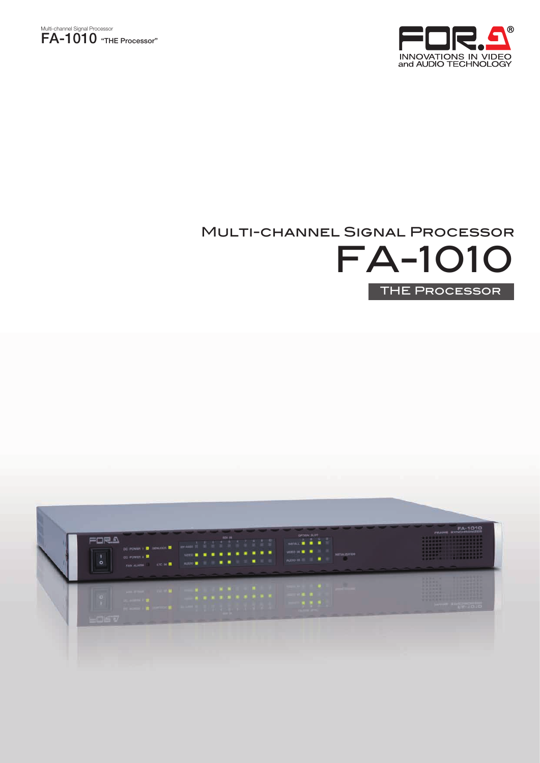



# Multi-channel Signal Processor



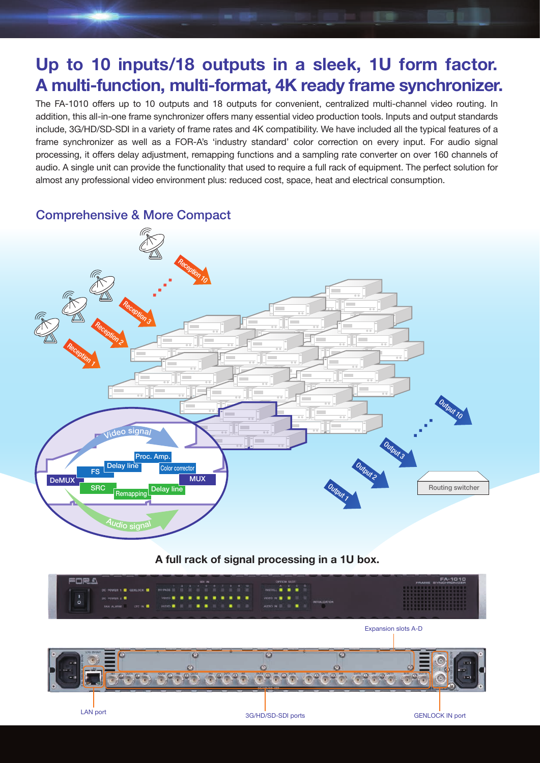# **Up to 10 inputs/18 outputs in a sleek, 1U form factor. A multi-function, multi-format, 4K ready frame synchronizer.**

**BODY HALL** 

The FA-1010 offers up to 10 outputs and 18 outputs for convenient, centralized multi-channel video routing. In addition, this all-in-one frame synchronizer offers many essential video production tools. Inputs and output standards include, 3G/HD/SD-SDI in a variety of frame rates and 4K compatibility. We have included all the typical features of a frame synchronizer as well as a FOR-A's 'industry standard' color correction on every input. For audio signal processing, it offers delay adjustment, remapping functions and a sampling rate converter on over 160 channels of audio. A single unit can provide the functionality that used to require a full rack of equipment. The perfect solution for almost any professional video environment plus: reduced cost, space, heat and electrical consumption.

Comprehensive & More Compact



### **A full rack of signal processing in a 1U box.**

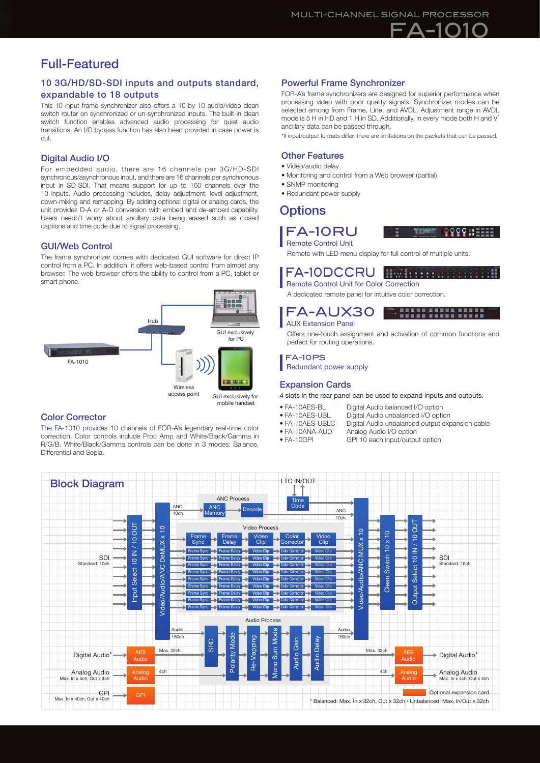## Full-Featured

#### 10 3G/HD/SD-SDI inputs and outputs standard, expandable to 18 outputs

This 10 input frame synchronizer also offers a 10 by 10 audio/video clean switch router on synchronized or un-synchronized inputs. The built-in clean switch function enables advanced audio processing for quiet audio transitions. An I/O bypass function has also been provided in case power is cut.

#### Digital Audio I/O

For embedded audio, there are 16 channels per 3G/HD-SDI synchronous/asynchronous input, and there are 16 channels per synchronous input in SD-SDI. That means support for up to 160 channels over the 10 inputs. Audio processing includes, delay adjustment, level adjustment, down-mixing and remapping. By adding optional digital or analog cards, the unit provides D-A or A-D conversion with embed and de-embed capability. Users needn't worry about ancillary data being erased such as closed captions and time code due to signal processing.

#### GUI/Web Control

The frame synchronizer comes with dedicated GUI software for direct IP control from a PC. In addition, it offers web-based control from almost any browser. The web browser offers the ability to control from a PC, tablet or smart phone.



#### mobile handset

#### Color Corrector

The FA-1010 provides 10 channels of FOR-A's legendary real-time color correction. Color controls include Proc Amp and White/Black/Gamma in R/G/B. White/Black/Gamma controls can be done in 3 modes: Balance, Differential and Sepia.

#### Powerful Frame Synchronizer

FOR-A's frame synchronizers are designed for superior performance when processing video with poor quality signals. Synchronizer modes can be selected among from Frame, Line, and AVDL. Adjustment range in AVDL mode is 5 H in HD and 1 H in SD. Additionally, in every mode both H and V<sup>\*</sup> ancillary data can be passed through.

\*If input/output formats differ, there are limitations on the packets that can be passed.

#### Other Features

- Video/audio delay
- Monitoring and control from a Web browser (partial)
- SNMP monitoring
- Redundant power supply

### **Options**

#### FA-10RU Remote Control Unit



性質

". **".".". "."."."."** 

9999.: ====

Remote with LED menu display for full control of multiple units.

#### FA-10DCCRU *<u>BULLESSES COOPER</u>*

FA-AUX30 AUX Extension Panel

perfect for routing operations.

Redundant power supply

Remote Control Unit for Color Correction A dedicated remote panel for intuitive color correction.



4 slots in the rear panel can be used to expand inputs and outputs. • FA-10AES-BL Digital Audio balanced I/O option<br>• FA-10AES-UBL Digital Audio unbalanced I/O option

FA-10PS

• FA-10AES-UBL Digital Audio unbalanced I/O option<br>• FA-10AES-UBLC Digital Audio unbalanced output exp • FA-10AES-UBLC Digital Audio unbalanced output expansion cable

Offers one-touch assignment and activation of common functions and

- 
- 
- FA-10ANA-AUD Analog Audio I/O option<br>• FA-10GPI GPI 10 each input/outpu GPI 10 each input/output option